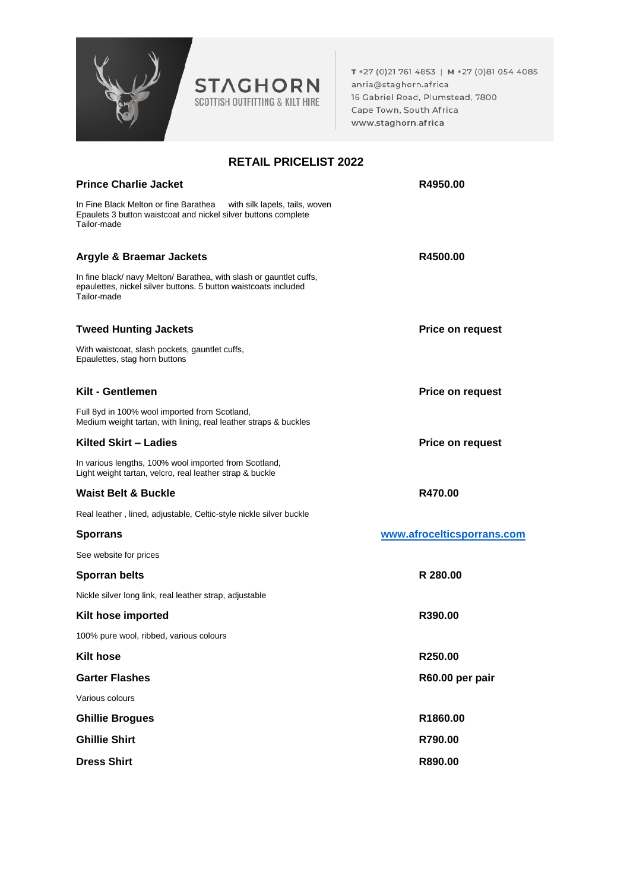

T +27 (0)21 761 4853 | M +27 (0)81 054 4085 anria@staghorn.africa 16 Gabriel Road, Plumstead, 7800 Cape Town, South Africa www.staghorn.africa

## **RETAIL PRICELIST 2022**

| <b>Prince Charlie Jacket</b>                                                                                                                             | R4950.00                   |
|----------------------------------------------------------------------------------------------------------------------------------------------------------|----------------------------|
| In Fine Black Melton or fine Barathea<br>with silk lapels, tails, woven<br>Epaulets 3 button waistcoat and nickel silver buttons complete<br>Tailor-made |                            |
| Argyle & Braemar Jackets                                                                                                                                 | R4500.00                   |
| In fine black/ navy Melton/ Barathea, with slash or gauntlet cuffs,<br>epaulettes, nickel silver buttons. 5 button waistcoats included<br>Tailor-made    |                            |
| <b>Tweed Hunting Jackets</b>                                                                                                                             | Price on request           |
| With waistcoat, slash pockets, gauntlet cuffs,<br>Epaulettes, stag horn buttons                                                                          |                            |
| Kilt - Gentlemen                                                                                                                                         | <b>Price on request</b>    |
| Full 8yd in 100% wool imported from Scotland,<br>Medium weight tartan, with lining, real leather straps & buckles                                        |                            |
| Kilted Skirt - Ladies                                                                                                                                    | <b>Price on request</b>    |
| In various lengths, 100% wool imported from Scotland,<br>Light weight tartan, velcro, real leather strap & buckle                                        |                            |
| <b>Waist Belt &amp; Buckle</b>                                                                                                                           | R470.00                    |
| Real leather, lined, adjustable, Celtic-style nickle silver buckle                                                                                       |                            |
| <b>Sporrans</b>                                                                                                                                          | www.afrocelticsporrans.com |
| See website for prices                                                                                                                                   |                            |
| <b>Sporran belts</b>                                                                                                                                     | R 280.00                   |
| Nickle silver long link, real leather strap, adjustable                                                                                                  |                            |
| Kilt hose imported                                                                                                                                       | R390.00                    |
| 100% pure wool, ribbed, various colours                                                                                                                  |                            |
| <b>Kilt hose</b>                                                                                                                                         | R250.00                    |
| <b>Garter Flashes</b>                                                                                                                                    | R60.00 per pair            |
| Various colours                                                                                                                                          |                            |
| <b>Ghillie Brogues</b>                                                                                                                                   | R1860.00                   |
| <b>Ghillie Shirt</b>                                                                                                                                     | R790.00                    |
| <b>Dress Shirt</b>                                                                                                                                       | R890.00                    |